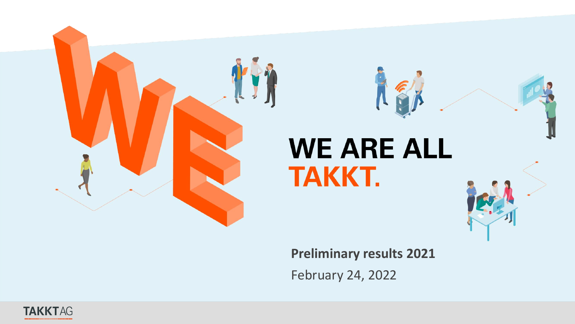

# **WE ARE ALL TAKKT.**

C.

**Preliminary results 2021**

February 24, 2022

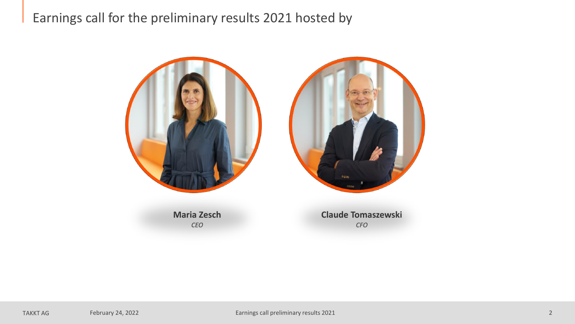#### Earnings call for the preliminary results 2021 hosted by

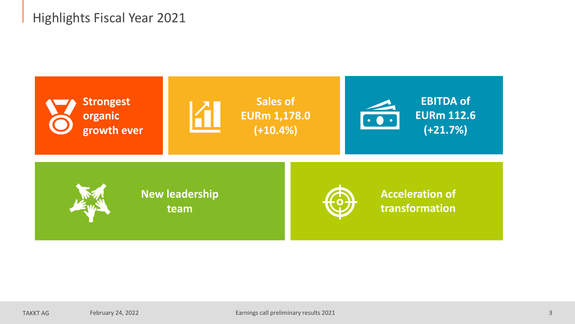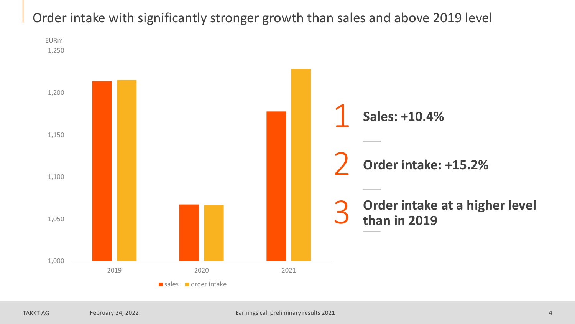#### Order intake with significantly stronger growth than sales and above 2019 level

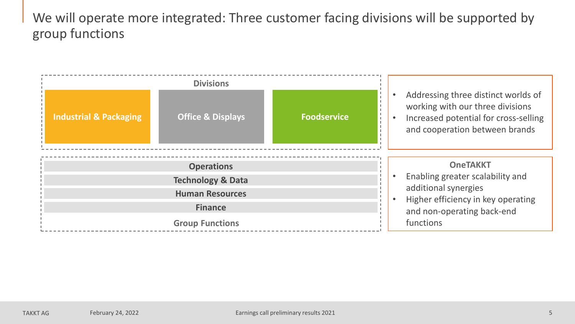We will operate more integrated: Three customer facing divisions will be supported by group functions

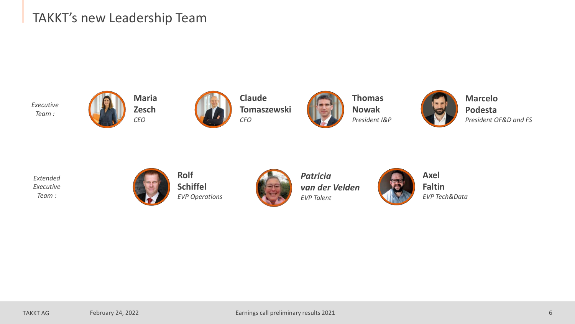#### TAKKT's new Leadership Team



**Maria Zesch** *CEO*



**Claude Tomaszewski** *CFO*



**Thomas Nowak** *President I&P* 



**Marcelo Podesta** *President OF&D and FS* 

*Extended Executive Team :* 



**Schiffel** *EVP Operations*



*Patricia van der Velden EVP Talent*



**Axel Faltin** *EVP Tech&Data*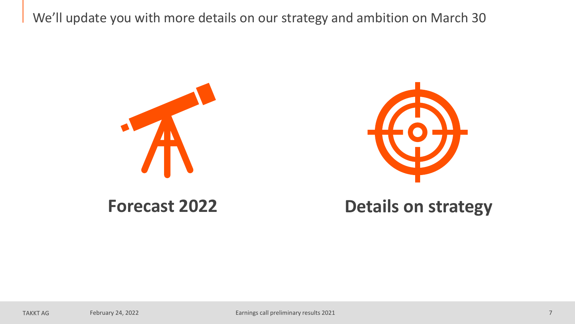We'll update you with more details on our strategy and ambition on March 30





# **Forecast 2022 Details on strategy**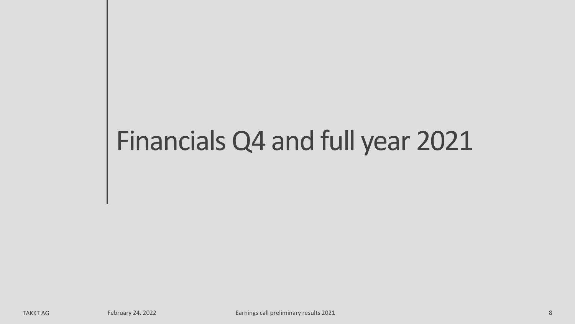# Financials Q4 and full year 2021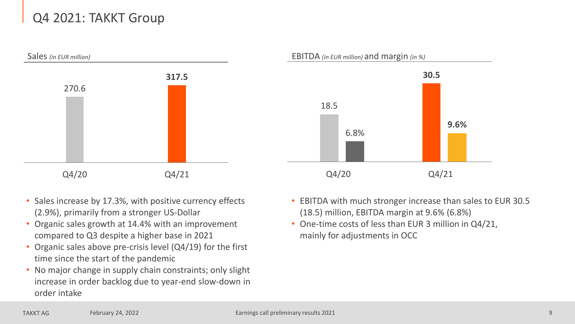# Q4 2021: TAKKT Group



- Sales increase by 17.3%, with positive currency effects (2.9%), primarily from a stronger US-Dollar
- Organic sales growth at 14.4% with an improvement compared to Q3 despite a higher base in 2021
- Organic sales above pre-crisis level (Q4/19) for the first time since the start of the pandemic
- No major change in supply chain constraints; only slight increase in order backlog due to year-end slow-down in order intake



- EBITDA with much stronger increase than sales to EUR 30.5 (18.5) million, EBITDA margin at 9.6% (6.8%)
- One-time costs of less than EUR 3 million in Q4/21, mainly for adjustments in OCC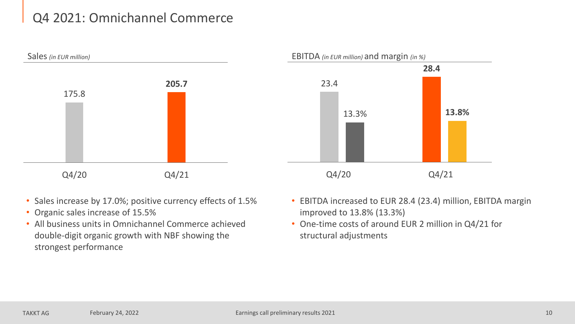### Q4 2021: Omnichannel Commerce



- Sales increase by 17.0%; positive currency effects of 1.5%
- Organic sales increase of 15.5%
- All business units in Omnichannel Commerce achieved double-digit organic growth with NBF showing the strongest performance
- EBITDA increased to EUR 28.4 (23.4) million, EBITDA margin improved to 13.8% (13.3%)
- One-time costs of around EUR 2 million in Q4/21 for structural adjustments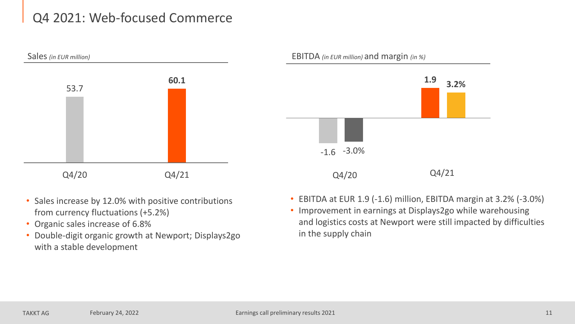# Q4 2021: Web-focused Commerce



- Sales increase by 12.0% with positive contributions from currency fluctuations (+5.2%)
- Organic sales increase of 6.8%
- Double-digit organic growth at Newport; Displays2go with a stable development



• Improvement in earnings at Displays2go while warehousing and logistics costs at Newport were still impacted by difficulties in the supply chain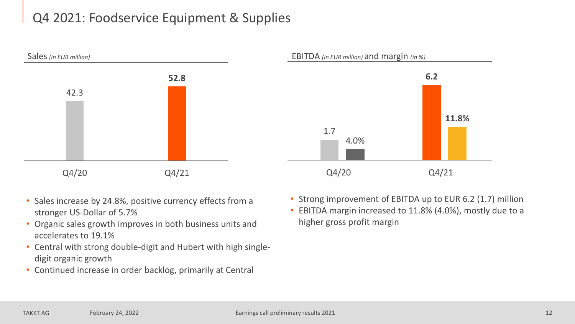# Q4 2021: Foodservice Equipment & Supplies



- Sales increase by 24.8%, positive currency effects from a stronger US-Dollar of 5.7%
- Organic sales growth improves in both business units and accelerates to 19.1%
- Central with strong double-digit and Hubert with high singledigit organic growth
- Continued increase in order backlog, primarily at Central
- Strong improvement of EBITDA up to EUR 6.2 (1.7) million
- EBITDA margin increased to 11.8% (4.0%), mostly due to a higher gross profit margin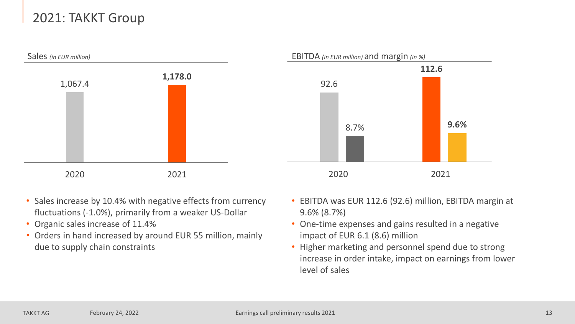### 2021: TAKKT Group



- Sales increase by 10.4% with negative effects from currency fluctuations (-1.0%), primarily from a weaker US-Dollar
- Organic sales increase of 11.4%
- Orders in hand increased by around EUR 55 million, mainly due to supply chain constraints
- EBITDA was EUR 112.6 (92.6) million, EBITDA margin at 9.6% (8.7%)
- One-time expenses and gains resulted in a negative impact of EUR 6.1 (8.6) million
- Higher marketing and personnel spend due to strong increase in order intake, impact on earnings from lower level of sales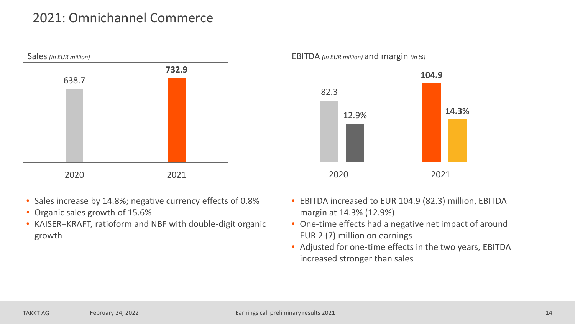#### 2021: Omnichannel Commerce



- Sales increase by 14.8%; negative currency effects of 0.8%
- Organic sales growth of 15.6%
- KAISER+KRAFT, ratioform and NBF with double-digit organic growth
- EBITDA increased to EUR 104.9 (82.3) million, EBITDA margin at 14.3% (12.9%)
- One-time effects had a negative net impact of around EUR 2 (7) million on earnings
- Adjusted for one-time effects in the two years, EBITDA increased stronger than sales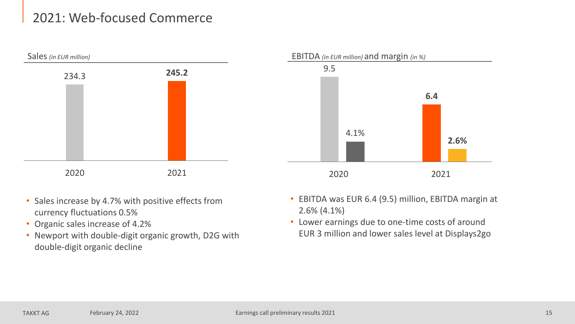#### 2021: Web-focused Commerce



- Sales increase by 4.7% with positive effects from currency fluctuations 0.5%
- Organic sales increase of 4.2%
- Newport with double-digit organic growth, D2G with double-digit organic decline
- EBITDA was EUR 6.4 (9.5) million, EBITDA margin at 2.6% (4.1%)
- Lower earnings due to one-time costs of around EUR 3 million and lower sales level at Displays2go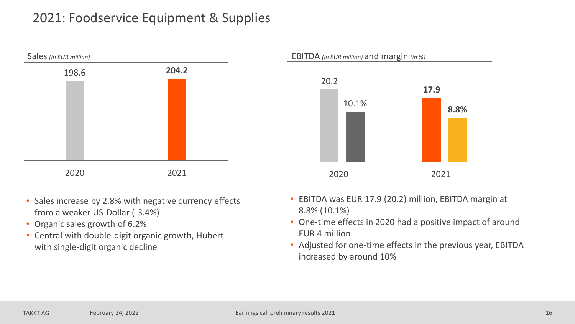## 2021: Foodservice Equipment & Supplies



- Sales increase by 2.8% with negative currency effects from a weaker US-Dollar (-3.4%)
- Organic sales growth of 6.2%
- Central with double-digit organic growth, Hubert with single-digit organic decline
- EBITDA was EUR 17.9 (20.2) million, EBITDA margin at 8.8% (10.1%)
- One-time effects in 2020 had a positive impact of around EUR 4 million
- Adjusted for one-time effects in the previous year, EBITDA increased by around 10%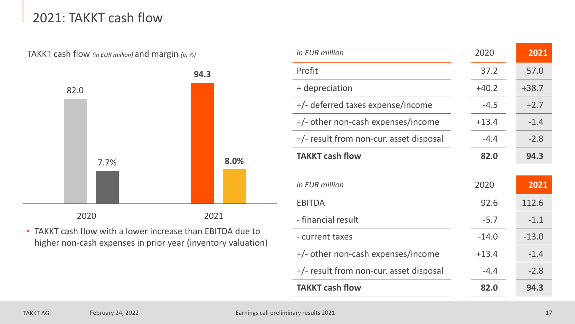### 2021: TAKKT cash flow

TAKKT cash flow *(in EUR million)* and margin *(in %)*



• TAKKT cash flow with a lower increase than EBITDA due to higher non-cash expenses in prior year (inventory valuation)

| in EUR million                          | 2020    | 2021    |
|-----------------------------------------|---------|---------|
| Profit                                  | 37.2    | 57.0    |
| + depreciation                          | $+40.2$ | $+38.7$ |
| +/- deferred taxes expense/income       | $-4.5$  | $+2.7$  |
| +/- other non-cash expenses/income      | $+13.4$ | $-1.4$  |
| +/- result from non-cur. asset disposal | $-4.4$  | $-2.8$  |
| <b>TAKKT cash flow</b>                  | 82.0    | 94.3    |
|                                         |         |         |
|                                         |         |         |
| in EUR million                          | 2020    | 2021    |
| <b>EBITDA</b>                           | 92.6    | 112.6   |
| - financial result                      | $-5.7$  | $-1.1$  |
| - current taxes                         | $-14.0$ | $-13.0$ |
| +/- other non-cash expenses/income      | $+13.4$ | $-1.4$  |
| +/- result from non-cur. asset disposal | $-4.4$  | $-2.8$  |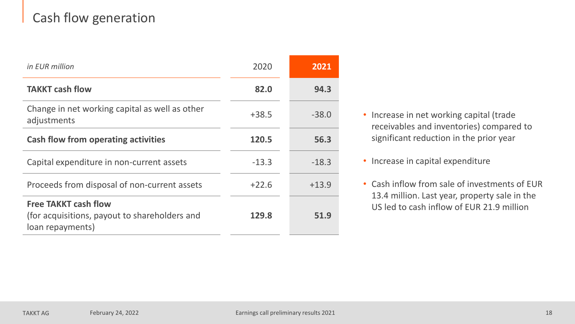# Cash flow generation

| in EUR million                                                                                   | 2020    | 2021    |
|--------------------------------------------------------------------------------------------------|---------|---------|
| <b>TAKKT cash flow</b>                                                                           | 82.0    | 94.3    |
| Change in net working capital as well as other<br>adjustments                                    | $+38.5$ | $-38.0$ |
| Cash flow from operating activities                                                              | 120.5   | 56.3    |
| Capital expenditure in non-current assets                                                        | $-13.3$ | $-18.3$ |
| Proceeds from disposal of non-current assets                                                     | $+22.6$ | $+13.9$ |
| <b>Free TAKKT cash flow</b><br>(for acquisitions, payout to shareholders and<br>loan repayments) | 129.8   | 51.9    |

- Increase in net working capital (trade receivables and inventories) compared to significant reduction in the prior year
- Increase in capital expenditure
- Cash inflow from sale of investments of EUR 13.4 million. Last year, property sale in the US led to cash inflow of EUR 21.9 million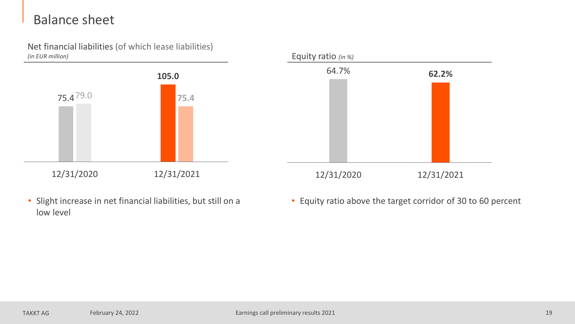### Balance sheet

Net financial liabilities (of which lease liabilities) *(in EUR million)*



• Slight increase in net financial liabilities, but still on a low level



• Equity ratio above the target corridor of 30 to 60 percent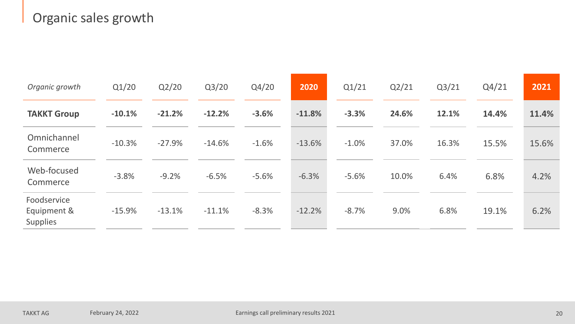# Organic sales growth

| Organic growth                                | Q1/20    | Q2/20    | Q3/20    | Q4/20   | 2020     | Q1/21   | Q2/21 | Q3/21 | Q4/21 | 2021  |
|-----------------------------------------------|----------|----------|----------|---------|----------|---------|-------|-------|-------|-------|
| <b>TAKKT Group</b>                            | $-10.1%$ | $-21.2%$ | $-12.2%$ | $-3.6%$ | $-11.8%$ | $-3.3%$ | 24.6% | 12.1% | 14.4% | 11.4% |
| Omnichannel<br>Commerce                       | $-10.3%$ | $-27.9%$ | $-14.6%$ | $-1.6%$ | $-13.6%$ | $-1.0%$ | 37.0% | 16.3% | 15.5% | 15.6% |
| Web-focused<br>Commerce                       | $-3.8%$  | $-9.2%$  | $-6.5%$  | $-5.6%$ | $-6.3%$  | $-5.6%$ | 10.0% | 6.4%  | 6.8%  | 4.2%  |
| Foodservice<br>Equipment &<br><b>Supplies</b> | $-15.9%$ | $-13.1%$ | $-11.1%$ | $-8.3%$ | $-12.2%$ | $-8.7%$ | 9.0%  | 6.8%  | 19.1% | 6.2%  |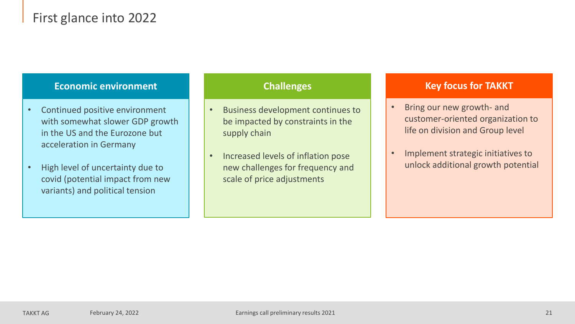### First glance into 2022

#### **Economic environment Challenges Challenges Key focus for TAKKT**

- Continued positive environment with somewhat slower GDP growth in the US and the Eurozone but acceleration in Germany
- High level of uncertainty due to covid (potential impact from new variants) and political tension

- Business development continues to be impacted by constraints in the supply chain
- Increased levels of inflation pose new challenges for frequency and scale of price adjustments

- Bring our new growth- and customer-oriented organization to life on division and Group level
- Implement strategic initiatives to unlock additional growth potential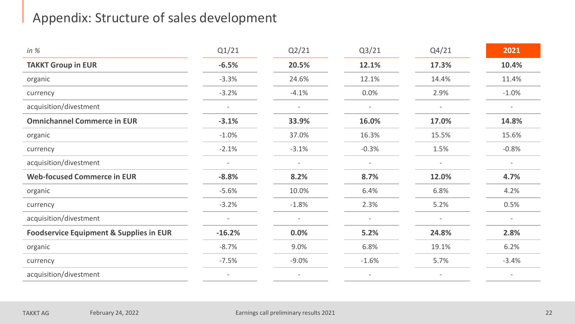### Appendix: Structure of sales development

| in $%$                                             | Q1/21    | Q2/21    | Q3/21                    | Q4/21                    | 2021    |
|----------------------------------------------------|----------|----------|--------------------------|--------------------------|---------|
| <b>TAKKT Group in EUR</b>                          | $-6.5%$  | 20.5%    | 12.1%                    | 17.3%                    | 10.4%   |
| organic                                            | $-3.3%$  | 24.6%    | 12.1%                    | 14.4%                    | 11.4%   |
| currency                                           | $-3.2%$  | $-4.1%$  | 0.0%                     | 2.9%                     | $-1.0%$ |
| acquisition/divestment                             |          |          |                          |                          |         |
| <b>Omnichannel Commerce in EUR</b>                 | $-3.1%$  | 33.9%    | 16.0%                    | 17.0%                    | 14.8%   |
| organic                                            | $-1.0%$  | 37.0%    | 16.3%                    | 15.5%                    | 15.6%   |
| currency                                           | $-2.1%$  | $-3.1%$  | $-0.3%$                  | 1.5%                     | $-0.8%$ |
| acquisition/divestment                             |          |          |                          |                          |         |
| <b>Web-focused Commerce in EUR</b>                 | $-8.8%$  | 8.2%     | 8.7%                     | 12.0%                    | 4.7%    |
| organic                                            | $-5.6%$  | 10.0%    | 6.4%                     | 6.8%                     | 4.2%    |
| currency                                           | $-3.2%$  | $-1.8%$  | 2.3%                     | 5.2%                     | 0.5%    |
| acquisition/divestment                             |          |          |                          |                          |         |
| <b>Foodservice Equipment &amp; Supplies in EUR</b> | $-16.2%$ | 0.0%     | 5.2%                     | 24.8%                    | 2.8%    |
| organic                                            | $-8.7%$  | 9.0%     | 6.8%                     | 19.1%                    | 6.2%    |
| currency                                           | $-7.5%$  | $-9.0\%$ | $-1.6%$                  | 5.7%                     | $-3.4%$ |
| acquisition/divestment                             |          |          | $\overline{\phantom{0}}$ | $\overline{\phantom{a}}$ |         |